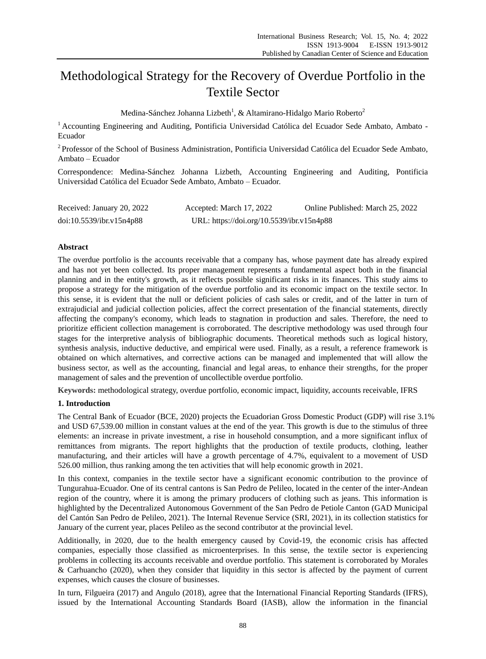# Methodological Strategy for the Recovery of Overdue Portfolio in the Textile Sector

Medina-S ánchez Johanna Lizbeth $^{\rm l}$ , [& Altamirano-Hidalgo Mario Roberto](https://repositorio.pucesa.edu.ec/browse?type=author&value=Altamirano+Hidalgo%2C+Mario+Roberto) $^{\rm 2}$ 

 $1$  Accounting Engineering and Auditing, Pontificia Universidad Católica del Ecuador Sede Ambato, Ambato -Ecuador

<sup>2</sup> Professor of the School of Business Administration, Pontificia Universidad Católica del Ecuador Sede Ambato, Ambato – Ecuador

Correspondence: Medina-Sánchez Johanna Lizbeth, Accounting Engineering and Auditing, Pontificia Universidad Católica del Ecuador Sede Ambato, Ambato – Ecuador.

| Received: January 20, 2022 | Accepted: March 17, 2022                  | Online Published: March 25, 2022 |
|----------------------------|-------------------------------------------|----------------------------------|
| doi:10.5539/ibr.v15n4p88   | URL: https://doi.org/10.5539/ibr.v15n4p88 |                                  |

# **Abstract**

The overdue portfolio is the accounts receivable that a company has, whose payment date has already expired and has not yet been collected. Its proper management represents a fundamental aspect both in the financial planning and in the entity's growth, as it reflects possible significant risks in its finances. This study aims to propose a strategy for the mitigation of the overdue portfolio and its economic impact on the textile sector. In this sense, it is evident that the null or deficient policies of cash sales or credit, and of the latter in turn of extrajudicial and judicial collection policies, affect the correct presentation of the financial statements, directly affecting the company's economy, which leads to stagnation in production and sales. Therefore, the need to prioritize efficient collection management is corroborated. The descriptive methodology was used through four stages for the interpretive analysis of bibliographic documents. Theoretical methods such as logical history, synthesis analysis, inductive deductive, and empirical were used. Finally, as a result, a reference framework is obtained on which alternatives, and corrective actions can be managed and implemented that will allow the business sector, as well as the accounting, financial and legal areas, to enhance their strengths, for the proper management of sales and the prevention of uncollectible overdue portfolio.

**Keywords:** methodological strategy, overdue portfolio, economic impact, liquidity, accounts receivable, IFRS

# **1. Introduction**

The Central Bank of Ecuador (BCE, 2020) projects the Ecuadorian Gross Domestic Product (GDP) will rise 3.1% and USD 67,539.00 million in constant values at the end of the year. This growth is due to the stimulus of three elements: an increase in private investment, a rise in household consumption, and a more significant influx of remittances from migrants. The report highlights that the production of textile products, clothing, leather manufacturing, and their articles will have a growth percentage of 4.7%, equivalent to a movement of USD 526.00 million, thus ranking among the ten activities that will help economic growth in 2021.

In this context, companies in the textile sector have a significant economic contribution to the province of Tungurahua-Ecuador. One of its central cantons is San Pedro de Pelileo, located in the center of the inter-Andean region of the country, where it is among the primary producers of clothing such as jeans. This information is highlighted by the Decentralized Autonomous Government of the San Pedro de Petiole Canton (GAD Municipal del Cantón San Pedro de Pelileo, 2021). The Internal Revenue Service (SRI, 2021), in its collection statistics for January of the current year, places Pelileo as the second contributor at the provincial level.

Additionally, in 2020, due to the health emergency caused by Covid-19, the economic crisis has affected companies, especially those classified as microenterprises. In this sense, the textile sector is experiencing problems in collecting its accounts receivable and overdue portfolio. This statement is corroborated by Morales & Carhuancho (2020), when they consider that liquidity in this sector is affected by the payment of current expenses, which causes the closure of businesses.

In turn, Filgueira (2017) and Angulo (2018), agree that the International Financial Reporting Standards (IFRS), issued by the International Accounting Standards Board (IASB), allow the information in the financial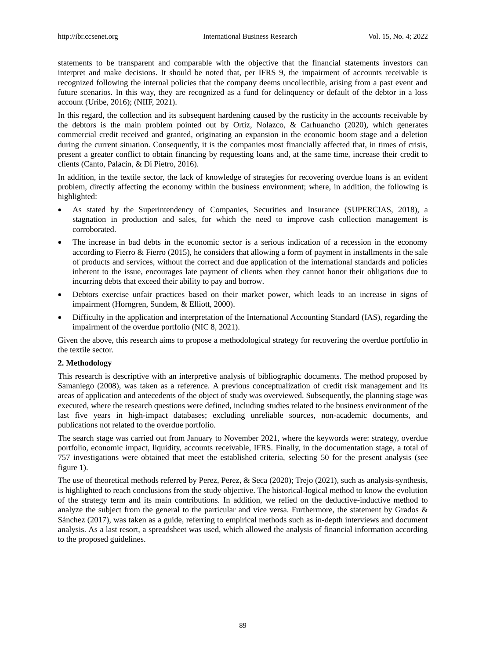statements to be transparent and comparable with the objective that the financial statements investors can interpret and make decisions. It should be noted that, per IFRS 9, the impairment of accounts receivable is recognized following the internal policies that the company deems uncollectible, arising from a past event and future scenarios. In this way, they are recognized as a fund for delinquency or default of the debtor in a loss account (Uribe, 2016); (NIIF, 2021).

In this regard, the collection and its subsequent hardening caused by the rusticity in the accounts receivable by the debtors is the main problem pointed out by Ortiz, Nolazco, & Carhuancho (2020), which generates commercial credit received and granted, originating an expansion in the economic boom stage and a deletion during the current situation. Consequently, it is the companies most financially affected that, in times of crisis, present a greater conflict to obtain financing by requesting loans and, at the same time, increase their credit to clients (Canto, Palac n, & Di Pietro, 2016).

In addition, in the textile sector, the lack of knowledge of strategies for recovering overdue loans is an evident problem, directly affecting the economy within the business environment; where, in addition, the following is highlighted:

- As stated by the Superintendency of Companies, Securities and Insurance (SUPERCIAS, 2018), a stagnation in production and sales, for which the need to improve cash collection management is corroborated.
- The increase in bad debts in the economic sector is a serious indication of a recession in the economy according to Fierro & Fierro (2015), he considers that allowing a form of payment in installments in the sale of products and services, without the correct and due application of the international standards and policies inherent to the issue, encourages late payment of clients when they cannot honor their obligations due to incurring debts that exceed their ability to pay and borrow.
- Debtors exercise unfair practices based on their market power, which leads to an increase in signs of impairment (Horngren, Sundem, & Elliott, 2000).
- Difficulty in the application and interpretation of the International Accounting Standard (IAS), regarding the impairment of the overdue portfolio (NIC 8, 2021).

Given the above, this research aims to propose a methodological strategy for recovering the overdue portfolio in the textile sector.

# **2. Methodology**

This research is descriptive with an interpretive analysis of bibliographic documents. The method proposed by Samaniego (2008), was taken as a reference. A previous conceptualization of credit risk management and its areas of application and antecedents of the object of study was overviewed. Subsequently, the planning stage was executed, where the research questions were defined, including studies related to the business environment of the last five years in high-impact databases; excluding unreliable sources, non-academic documents, and publications not related to the overdue portfolio.

The search stage was carried out from January to November 2021, where the keywords were: strategy, overdue portfolio, economic impact, liquidity, accounts receivable, IFRS. Finally, in the documentation stage, a total of 757 investigations were obtained that meet the established criteria, selecting 50 for the present analysis (see figure 1).

The use of theoretical methods referred by Perez, Perez, & Seca (2020); Trejo (2021), such as analysis-synthesis, is highlighted to reach conclusions from the study objective. The historical-logical method to know the evolution of the strategy term and its main contributions. In addition, we relied on the deductive-inductive method to analyze the subject from the general to the particular and vice versa. Furthermore, the statement by Grados & Sánchez (2017), was taken as a guide, referring to empirical methods such as in-depth interviews and document analysis. As a last resort, a spreadsheet was used, which allowed the analysis of financial information according to the proposed guidelines.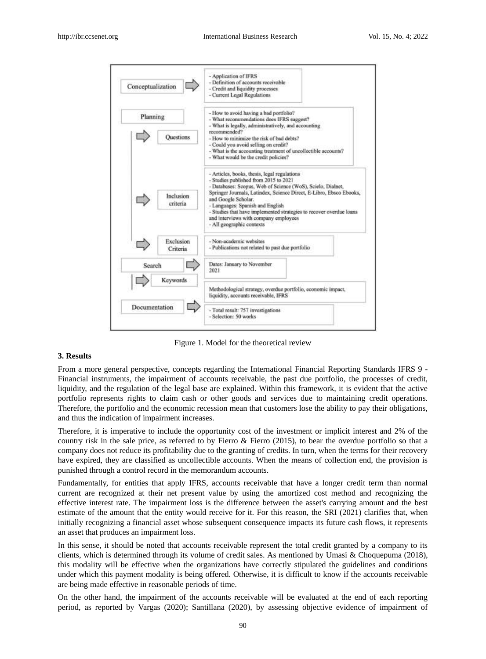

Figure 1. Model for the theoretical review

## **3. Results**

From a more general perspective, concepts regarding the International Financial Reporting Standards IFRS 9 - Financial instruments, the impairment of accounts receivable, the past due portfolio, the processes of credit, liquidity, and the regulation of the legal base are explained. Within this framework, it is evident that the active portfolio represents rights to claim cash or other goods and services due to maintaining credit operations. Therefore, the portfolio and the economic recession mean that customers lose the ability to pay their obligations, and thus the indication of impairment increases.

Therefore, it is imperative to include the opportunity cost of the investment or implicit interest and 2% of the country risk in the sale price, as referred to by Fierro & Fierro (2015), to bear the overdue portfolio so that a company does not reduce its profitability due to the granting of credits. In turn, when the terms for their recovery have expired, they are classified as uncollectible accounts. When the means of collection end, the provision is punished through a control record in the memorandum accounts.

Fundamentally, for entities that apply IFRS, accounts receivable that have a longer credit term than normal current are recognized at their net present value by using the amortized cost method and recognizing the effective interest rate. The impairment loss is the difference between the asset's carrying amount and the best estimate of the amount that the entity would receive for it. For this reason, the SRI (2021) clarifies that, when initially recognizing a financial asset whose subsequent consequence impacts its future cash flows, it represents an asset that produces an impairment loss.

In this sense, it should be noted that accounts receivable represent the total credit granted by a company to its clients, which is determined through its volume of credit sales. As mentioned by Umasi & Choquepuma (2018), this modality will be effective when the organizations have correctly stipulated the guidelines and conditions under which this payment modality is being offered. Otherwise, it is difficult to know if the accounts receivable are being made effective in reasonable periods of time.

On the other hand, the impairment of the accounts receivable will be evaluated at the end of each reporting period, as reported by Vargas (2020); Santillana (2020), by assessing objective evidence of impairment of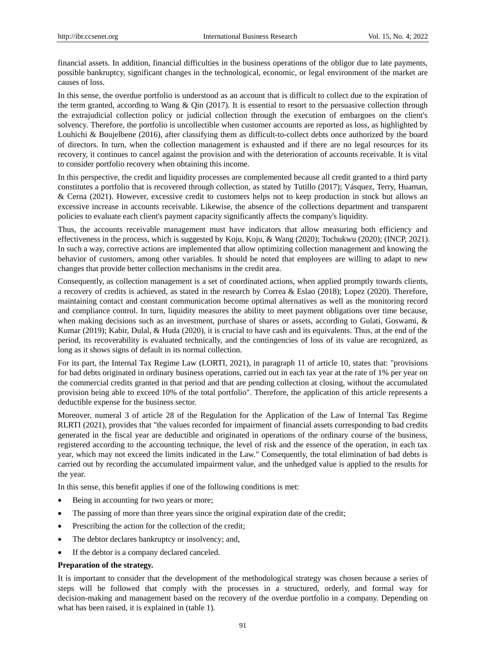financial assets. In addition, financial difficulties in the business operations of the obligor due to late payments, possible bankruptcy, significant changes in the technological, economic, or legal environment of the market are causes of loss.

In this sense, the overdue portfolio is understood as an account that is difficult to collect due to the expiration of the term granted, according to Wang  $\&$  Qin (2017). It is essential to resort to the persuasive collection through the extrajudicial collection policy or judicial collection through the execution of embargoes on the client's solvency. Therefore, the portfolio is uncollectible when customer accounts are reported as loss, as highlighted by Louhichi & Boujelbene (2016), after classifying them as difficult-to-collect debts once authorized by the board of directors. In turn, when the collection management is exhausted and if there are no legal resources for its recovery, it continues to cancel against the provision and with the deterioration of accounts receivable. It is vital to consider portfolio recovery when obtaining this income.

In this perspective, the credit and liquidity processes are complemented because all credit granted to a third party constitutes a portfolio that is recovered through collection, as stated by Tutillo (2017); V ásquez, Terry, Huaman, & Cerna (2021). However, excessive credit to customers helps not to keep production in stock but allows an excessive increase in accounts receivable. Likewise, the absence of the collections department and transparent policies to evaluate each client's payment capacity significantly affects the company's liquidity.

Thus, the accounts receivable management must have indicators that allow measuring both efficiency and effectiveness in the process, which is suggested by Koju, Koju, & Wang (2020); Tochukwu (2020); (INCP, 2021). In such a way, corrective actions are implemented that allow optimizing collection management and knowing the behavior of customers, among other variables. It should be noted that employees are willing to adapt to new changes that provide better collection mechanisms in the credit area.

Consequently, as collection management is a set of coordinated actions, when applied promptly towards clients, a recovery of credits is achieved, as stated in the research by Correa & Eslao (2018); Lopez (2020). Therefore, maintaining contact and constant communication become optimal alternatives as well as the monitoring record and compliance control. In turn, liquidity measures the ability to meet payment obligations over time because, when making decisions such as an investment, purchase of shares or assets, according to Gulati, Goswami, & Kumar (2019); Kabir, Dulal, & Huda (2020), it is crucial to have cash and its equivalents. Thus, at the end of the period, its recoverability is evaluated technically, and the contingencies of loss of its value are recognized, as long as it shows signs of default in its normal collection.

For its part, the Internal Tax Regime Law (LORTI, 2021), in paragraph 11 of article 10, states that: "provisions for bad debts originated in ordinary business operations, carried out in each tax year at the rate of 1% per year on the commercial credits granted in that period and that are pending collection at closing, without the accumulated provision being able to exceed 10% of the total portfolio". Therefore, the application of this article represents a deductible expense for the business sector.

Moreover, numeral 3 of article 28 of the Regulation for the Application of the Law of Internal Tax Regime RLRTI (2021), provides that "the values recorded for impairment of financial assets corresponding to bad credits generated in the fiscal year are deductible and originated in operations of the ordinary course of the business, registered according to the accounting technique, the level of risk and the essence of the operation, in each tax year, which may not exceed the limits indicated in the Law." Consequently, the total elimination of bad debts is carried out by recording the accumulated impairment value, and the unhedged value is applied to the results for the year.

In this sense, this benefit applies if one of the following conditions is met:

- Being in accounting for two years or more;
- The passing of more than three years since the original expiration date of the credit;
- Prescribing the action for the collection of the credit;
- The debtor declares bankruptcy or insolvency; and,
- If the debtor is a company declared canceled.

#### **Preparation of the strategy.**

It is important to consider that the development of the methodological strategy was chosen because a series of steps will be followed that comply with the processes in a structured, orderly, and formal way for decision-making and management based on the recovery of the overdue portfolio in a company. Depending on what has been raised, it is explained in (table 1).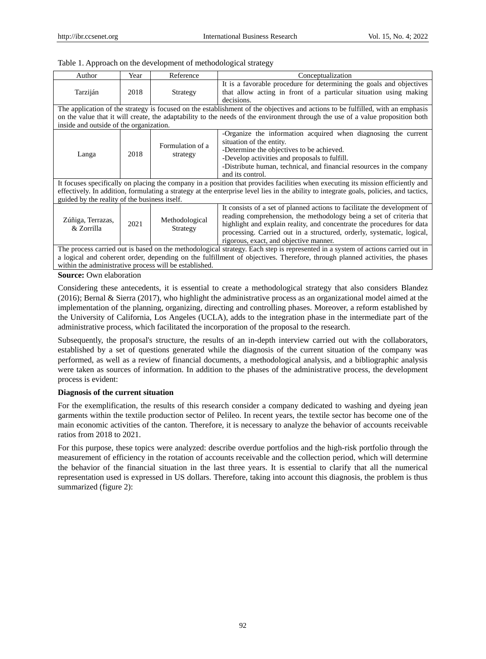|  | Table 1. Approach on the development of methodological strategy |
|--|-----------------------------------------------------------------|
|  |                                                                 |

| Author                                                                                                                                                                                                                                                                                                                       | Year | Reference                    | Conceptualization                                                                                                                                                                                                                                                                                                                             |
|------------------------------------------------------------------------------------------------------------------------------------------------------------------------------------------------------------------------------------------------------------------------------------------------------------------------------|------|------------------------------|-----------------------------------------------------------------------------------------------------------------------------------------------------------------------------------------------------------------------------------------------------------------------------------------------------------------------------------------------|
| Tarzij án                                                                                                                                                                                                                                                                                                                    | 2018 | Strategy                     | It is a favorable procedure for determining the goals and objectives<br>that allow acting in front of a particular situation using making<br>decisions.                                                                                                                                                                                       |
| The application of the strategy is focused on the establishment of the objectives and actions to be fulfilled, with an emphasis                                                                                                                                                                                              |      |                              |                                                                                                                                                                                                                                                                                                                                               |
|                                                                                                                                                                                                                                                                                                                              |      |                              | on the value that it will create, the adaptability to the needs of the environment through the use of a value proposition both                                                                                                                                                                                                                |
| inside and outside of the organization.                                                                                                                                                                                                                                                                                      |      |                              |                                                                                                                                                                                                                                                                                                                                               |
| Langa                                                                                                                                                                                                                                                                                                                        | 2018 | Formulation of a<br>strategy | -Organize the information acquired when diagnosing the current<br>situation of the entity.<br>-Determine the objectives to be achieved.<br>-Develop activities and proposals to fulfill.<br>-Distribute human, technical, and financial resources in the company<br>and its control.                                                          |
| It focuses specifically on placing the company in a position that provides facilities when executing its mission efficiently and<br>effectively. In addition, formulating a strategy at the enterprise level lies in the ability to integrate goals, policies, and tactics,<br>guided by the reality of the business itself. |      |                              |                                                                                                                                                                                                                                                                                                                                               |
| Zúñiga, Terrazas,<br>& Zorrilla                                                                                                                                                                                                                                                                                              | 2021 | Methodological<br>Strategy   | It consists of a set of planned actions to facilitate the development of<br>reading comprehension, the methodology being a set of criteria that<br>highlight and explain reality, and concentrate the procedures for data<br>processing. Carried out in a structured, orderly, systematic, logical,<br>rigorous, exact, and objective manner. |
| The process carried out is based on the methodological strategy. Each step is represented in a system of actions carried out in<br>a logical and coherent order, depending on the fulfillment of objectives. Therefore, through planned activities, the phases<br>within the administrative process will be established.     |      |                              |                                                                                                                                                                                                                                                                                                                                               |

**Source:** Own elaboration

Considering these antecedents, it is essential to create a methodological strategy that also considers Blandez (2016); Bernal & Sierra (2017), who highlight the administrative process as an organizational model aimed at the implementation of the planning, organizing, directing and controlling phases. Moreover, a reform established by the University of California, Los Angeles (UCLA), adds to the integration phase in the intermediate part of the administrative process, which facilitated the incorporation of the proposal to the research.

Subsequently, the proposal's structure, the results of an in-depth interview carried out with the collaborators, established by a set of questions generated while the diagnosis of the current situation of the company was performed, as well as a review of financial documents, a methodological analysis, and a bibliographic analysis were taken as sources of information. In addition to the phases of the administrative process, the development process is evident:

# **Diagnosis of the current situation**

For the exemplification, the results of this research consider a company dedicated to washing and dyeing jean garments within the textile production sector of Pelileo. In recent years, the textile sector has become one of the main economic activities of the canton. Therefore, it is necessary to analyze the behavior of accounts receivable ratios from 2018 to 2021.

For this purpose, these topics were analyzed: describe overdue portfolios and the high-risk portfolio through the measurement of efficiency in the rotation of accounts receivable and the collection period, which will determine the behavior of the financial situation in the last three years. It is essential to clarify that all the numerical representation used is expressed in US dollars. Therefore, taking into account this diagnosis, the problem is thus summarized (figure 2):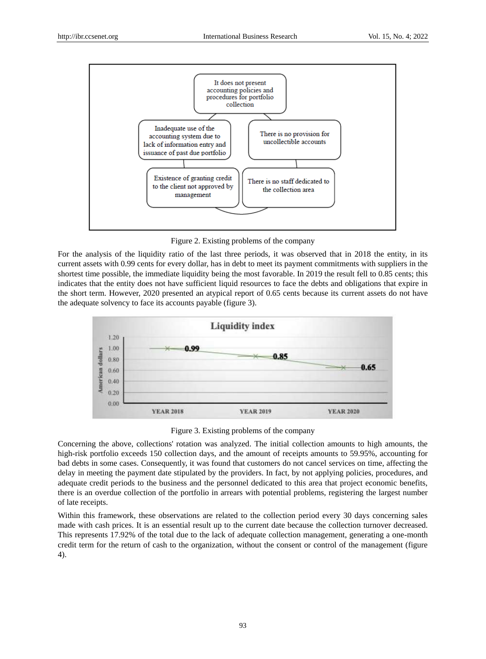

Figure 2. Existing problems of the company

For the analysis of the liquidity ratio of the last three periods, it was observed that in 2018 the entity, in its current assets with 0.99 cents for every dollar, has in debt to meet its payment commitments with suppliers in the shortest time possible, the immediate liquidity being the most favorable. In 2019 the result fell to 0.85 cents; this indicates that the entity does not have sufficient liquid resources to face the debts and obligations that expire in the short term. However, 2020 presented an atypical report of 0.65 cents because its current assets do not have the adequate solvency to face its accounts payable (figure 3).



Figure 3. Existing problems of the company

Concerning the above, collections' rotation was analyzed. The initial collection amounts to high amounts, the high-risk portfolio exceeds 150 collection days, and the amount of receipts amounts to 59.95%, accounting for bad debts in some cases. Consequently, it was found that customers do not cancel services on time, affecting the delay in meeting the payment date stipulated by the providers. In fact, by not applying policies, procedures, and adequate credit periods to the business and the personnel dedicated to this area that project economic benefits, there is an overdue collection of the portfolio in arrears with potential problems, registering the largest number of late receipts.

Within this framework, these observations are related to the collection period every 30 days concerning sales made with cash prices. It is an essential result up to the current date because the collection turnover decreased. This represents 17.92% of the total due to the lack of adequate collection management, generating a one-month credit term for the return of cash to the organization, without the consent or control of the management (figure 4).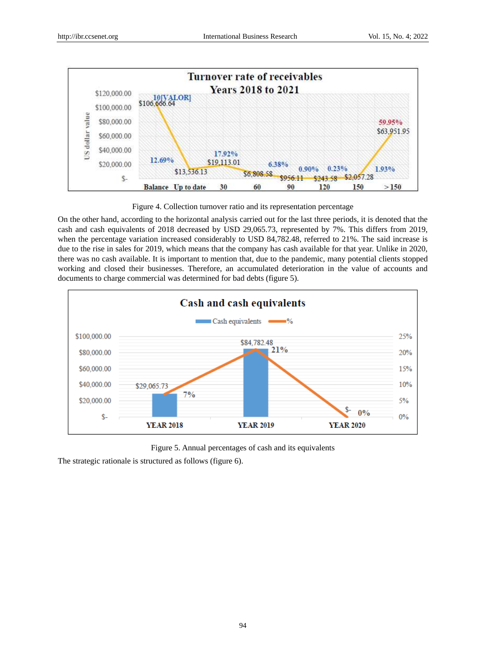

Figure 4. Collection turnover ratio and its representation percentage

On the other hand, according to the horizontal analysis carried out for the last three periods, it is denoted that the cash and cash equivalents of 2018 decreased by USD 29,065.73, represented by 7%. This differs from 2019, when the percentage variation increased considerably to USD 84,782.48, referred to 21%. The said increase is due to the rise in sales for 2019, which means that the company has cash available for that year. Unlike in 2020, there was no cash available. It is important to mention that, due to the pandemic, many potential clients stopped working and closed their businesses. Therefore, an accumulated deterioration in the value of accounts and documents to charge commercial was determined for bad debts (figure 5).



Figure 5. Annual percentages of cash and its equivalents

The strategic rationale is structured as follows (figure 6).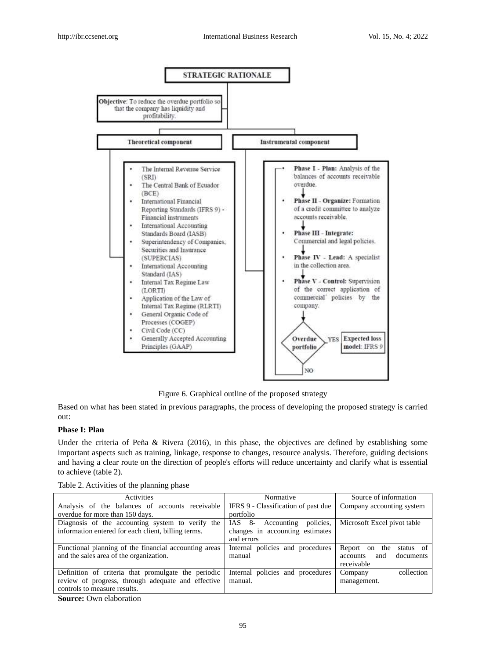

Figure 6. Graphical outline of the proposed strategy

Based on what has been stated in previous paragraphs, the process of developing the proposed strategy is carried out:

# **Phase I: Plan**

Under the criteria of Peña & Rivera (2016), in this phase, the objectives are defined by establishing some important aspects such as training, linkage, response to changes, resource analysis. Therefore, guiding decisions and having a clear route on the direction of people's efforts will reduce uncertainty and clarify what is essential to achieve (table 2).

Table 2. Activities of the planning phase

| Activities                                            | Normative                                | Source of information               |  |
|-------------------------------------------------------|------------------------------------------|-------------------------------------|--|
| Analysis of the balances of accounts receivable       | IFRS 9 - Classification of past due      | Company accounting system           |  |
| overdue for more than 150 days.                       | portfolio                                |                                     |  |
| Diagnosis of the accounting system to verify the      | policies.<br>$8-$<br>IAS -<br>Accounting | Microsoft Excel pivot table         |  |
| information entered for each client, billing terms.   | changes in accounting estimates          |                                     |  |
|                                                       | and errors                               |                                     |  |
| Functional planning of the financial accounting areas | Internal policies and procedures         | Report<br>the<br>on<br>status of    |  |
| and the sales area of the organization.               | manual                                   | documents<br><i>accounts</i><br>and |  |
|                                                       |                                          | receivable                          |  |
| Definition of criteria that promulgate the periodic   | Internal policies and procedures         | collection<br>Company               |  |
| review of progress, through adequate and effective    | manual.                                  | management.                         |  |
| controls to measure results.                          |                                          |                                     |  |
|                                                       |                                          |                                     |  |

**Source:** Own elaboration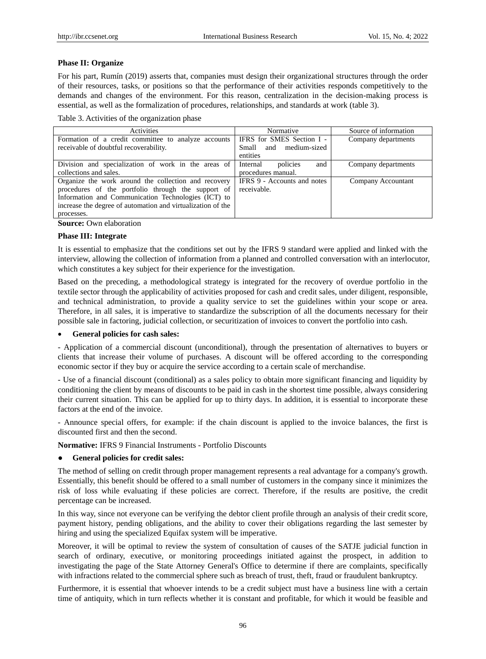#### **Phase II: Organize**

For his part, Rum *n* (2019) asserts that, companies must design their organizational structures through the order of their resources, tasks, or positions so that the performance of their activities responds competitively to the demands and changes of the environment. For this reason, centralization in the decision-making process is essential, as well as the formalization of procedures, relationships, and standards at work (table 3).

Table 3. Activities of the organization phase

| <b>Activities</b>                                           | Normative                   | Source of information |
|-------------------------------------------------------------|-----------------------------|-----------------------|
| Formation of a credit committee to analyze accounts         | IFRS for SMES Section I -   | Company departments   |
| receivable of doubtful recoverability.                      | Small and medium-sized      |                       |
|                                                             | entities                    |                       |
| Division and specialization of work in the areas of         | policies<br>Internal<br>and | Company departments   |
| collections and sales.                                      | procedures manual.          |                       |
| Organize the work around the collection and recovery        | IFRS 9 - Accounts and notes | Company Accountant    |
| procedures of the portfolio through the support of          | receivable.                 |                       |
| Information and Communication Technologies (ICT) to         |                             |                       |
| increase the degree of automation and virtualization of the |                             |                       |
| processes.                                                  |                             |                       |

**Source:** Own elaboration

#### **Phase III: Integrate**

It is essential to emphasize that the conditions set out by the IFRS 9 standard were applied and linked with the interview, allowing the collection of information from a planned and controlled conversation with an interlocutor, which constitutes a key subject for their experience for the investigation.

Based on the preceding, a methodological strategy is integrated for the recovery of overdue portfolio in the textile sector through the applicability of activities proposed for cash and credit sales, under diligent, responsible, and technical administration, to provide a quality service to set the guidelines within your scope or area. Therefore, in all sales, it is imperative to standardize the subscription of all the documents necessary for their possible sale in factoring, judicial collection, or securitization of invoices to convert the portfolio into cash.

#### **General policies for cash sales:**

- Application of a commercial discount (unconditional), through the presentation of alternatives to buyers or clients that increase their volume of purchases. A discount will be offered according to the corresponding economic sector if they buy or acquire the service according to a certain scale of merchandise.

- Use of a financial discount (conditional) as a sales policy to obtain more significant financing and liquidity by conditioning the client by means of discounts to be paid in cash in the shortest time possible, always considering their current situation. This can be applied for up to thirty days. In addition, it is essential to incorporate these factors at the end of the invoice.

- Announce special offers, for example: if the chain discount is applied to the invoice balances, the first is discounted first and then the second.

**Normative:** IFRS 9 Financial Instruments - Portfolio Discounts

#### ● **General policies for credit sales:**

The method of selling on credit through proper management represents a real advantage for a company's growth. Essentially, this benefit should be offered to a small number of customers in the company since it minimizes the risk of loss while evaluating if these policies are correct. Therefore, if the results are positive, the credit percentage can be increased.

In this way, since not everyone can be verifying the debtor client profile through an analysis of their credit score, payment history, pending obligations, and the ability to cover their obligations regarding the last semester by hiring and using the specialized Equifax system will be imperative.

Moreover, it will be optimal to review the system of consultation of causes of the SATJE judicial function in search of ordinary, executive, or monitoring proceedings initiated against the prospect, in addition to investigating the page of the State Attorney General's Office to determine if there are complaints, specifically with infractions related to the commercial sphere such as breach of trust, theft, fraud or fraudulent bankruptcy.

Furthermore, it is essential that whoever intends to be a credit subject must have a business line with a certain time of antiquity, which in turn reflects whether it is constant and profitable, for which it would be feasible and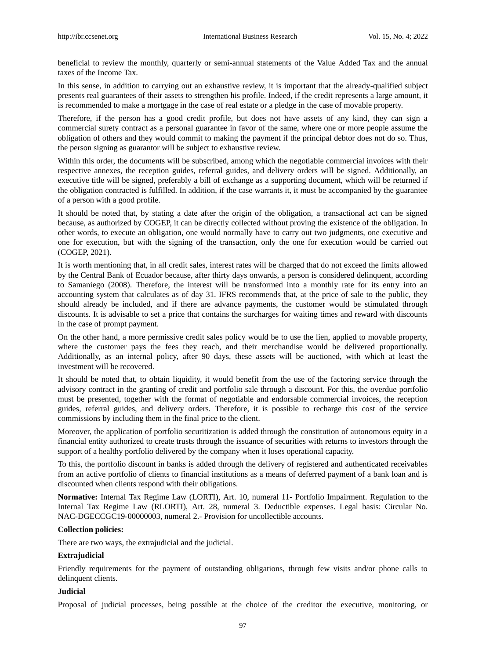beneficial to review the monthly, quarterly or semi-annual statements of the Value Added Tax and the annual taxes of the Income Tax.

In this sense, in addition to carrying out an exhaustive review, it is important that the already-qualified subject presents real guarantees of their assets to strengthen his profile. Indeed, if the credit represents a large amount, it is recommended to make a mortgage in the case of real estate or a pledge in the case of movable property.

Therefore, if the person has a good credit profile, but does not have assets of any kind, they can sign a commercial surety contract as a personal guarantee in favor of the same, where one or more people assume the obligation of others and they would commit to making the payment if the principal debtor does not do so. Thus, the person signing as guarantor will be subject to exhaustive review.

Within this order, the documents will be subscribed, among which the negotiable commercial invoices with their respective annexes, the reception guides, referral guides, and delivery orders will be signed. Additionally, an executive title will be signed, preferably a bill of exchange as a supporting document, which will be returned if the obligation contracted is fulfilled. In addition, if the case warrants it, it must be accompanied by the guarantee of a person with a good profile.

It should be noted that, by stating a date after the origin of the obligation, a transactional act can be signed because, as authorized by COGEP, it can be directly collected without proving the existence of the obligation. In other words, to execute an obligation, one would normally have to carry out two judgments, one executive and one for execution, but with the signing of the transaction, only the one for execution would be carried out (COGEP, 2021).

It is worth mentioning that, in all credit sales, interest rates will be charged that do not exceed the limits allowed by the Central Bank of Ecuador because, after thirty days onwards, a person is considered delinquent, according to Samaniego (2008). Therefore, the interest will be transformed into a monthly rate for its entry into an accounting system that calculates as of day 31. IFRS recommends that, at the price of sale to the public, they should already be included, and if there are advance payments, the customer would be stimulated through discounts. It is advisable to set a price that contains the surcharges for waiting times and reward with discounts in the case of prompt payment.

On the other hand, a more permissive credit sales policy would be to use the lien, applied to movable property, where the customer pays the fees they reach, and their merchandise would be delivered proportionally. Additionally, as an internal policy, after 90 days, these assets will be auctioned, with which at least the investment will be recovered.

It should be noted that, to obtain liquidity, it would benefit from the use of the factoring service through the advisory contract in the granting of credit and portfolio sale through a discount. For this, the overdue portfolio must be presented, together with the format of negotiable and endorsable commercial invoices, the reception guides, referral guides, and delivery orders. Therefore, it is possible to recharge this cost of the service commissions by including them in the final price to the client.

Moreover, the application of portfolio securitization is added through the constitution of autonomous equity in a financial entity authorized to create trusts through the issuance of securities with returns to investors through the support of a healthy portfolio delivered by the company when it loses operational capacity.

To this, the portfolio discount in banks is added through the delivery of registered and authenticated receivables from an active portfolio of clients to financial institutions as a means of deferred payment of a bank loan and is discounted when clients respond with their obligations.

**Normative:** Internal Tax Regime Law (LORTI), Art. 10, numeral 11- Portfolio Impairment. Regulation to the Internal Tax Regime Law (RLORTI), Art. 28, numeral 3. Deductible expenses. Legal basis: Circular No. NAC-DGECCGC19-00000003, numeral 2.- Provision for uncollectible accounts.

#### **Collection policies:**

There are two ways, the extrajudicial and the judicial.

### **Extrajudicial**

Friendly requirements for the payment of outstanding obligations, through few visits and/or phone calls to delinquent clients.

#### **Judicial**

Proposal of judicial processes, being possible at the choice of the creditor the executive, monitoring, or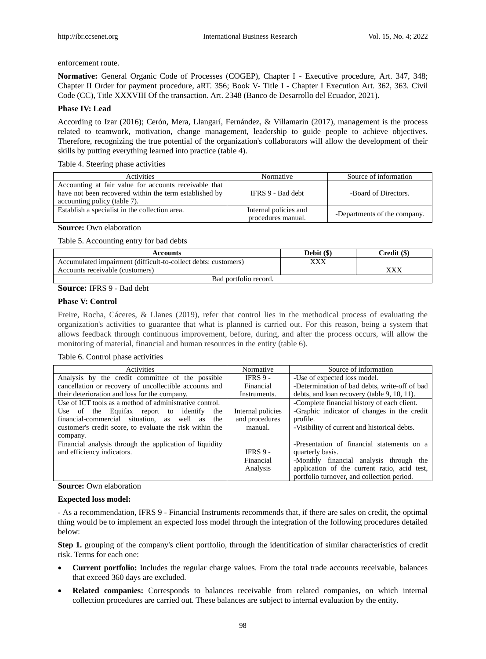# enforcement route.

**Normative:** General Organic Code of Processes (COGEP), Chapter I - Executive procedure, Art. 347, 348; Chapter II Order for payment procedure, aRT. 356; Book V- Title I - Chapter I Execution Art. 362, 363. Civil Code (CC), Title XXXVIII Of the transaction. Art. 2348 (Banco de Desarrollo del Ecuador, 2021).

# **Phase IV: Lead**

According to Izar (2016); Cerón, Mera, Llangarí, Fernández, & Villamarin (2017), management is the process related to teamwork, motivation, change management, leadership to guide people to achieve objectives. Therefore, recognizing the true potential of the organization's collaborators will allow the development of their skills by putting everything learned into practice (table 4).

Table 4. Steering phase activities

| <b>Activities</b>                                                                                                                               | Normative                                   | Source of information        |
|-------------------------------------------------------------------------------------------------------------------------------------------------|---------------------------------------------|------------------------------|
| Accounting at fair value for accounts receivable that<br>have not been recovered within the term established by<br>accounting policy (table 7). | IFRS 9 - Bad debt                           | -Board of Directors.         |
| Establish a specialist in the collection area.                                                                                                  | Internal policies and<br>procedures manual. | -Departments of the company. |

# **Source:** Own elaboration

Table 5. Accounting entry for bad debts

| <b>Accounts</b>                                                | Debit $(\$)$ | Credit (\$) |
|----------------------------------------------------------------|--------------|-------------|
| Accumulated impairment (difficult-to-collect debts: customers) | XXX          |             |
| Accounts receivable (customers)                                |              | xxx         |
| Bad portfolio record.                                          |              |             |

# **Source:** IFRS 9 - Bad debt

# **Phase V: Control**

Freire, Rocha, Cáceres, & Llanes (2019), refer that control lies in the methodical process of evaluating the organization's activities to guarantee that what is planned is carried out. For this reason, being a system that allows feedback through continuous improvement, before, during, and after the process occurs, will allow the monitoring of material, financial and human resources in the entity (table 6).

#### Table 6. Control phase activities

| Activities                                               | Normative         | Source of information                         |  |  |
|----------------------------------------------------------|-------------------|-----------------------------------------------|--|--|
| Analysis by the credit committee of the possible         | <b>IFRS 9 -</b>   | -Use of expected loss model.                  |  |  |
| cancellation or recovery of uncollectible accounts and   | Financial         | -Determination of bad debts, write-off of bad |  |  |
| their deterioration and loss for the company.            | Instruments.      | debts, and loan recovery (table 9, 10, 11).   |  |  |
| Use of ICT tools as a method of administrative control.  |                   | -Complete financial history of each client.   |  |  |
| Use of the Equitax report to identify<br>the             | Internal policies | -Graphic indicator of changes in the credit   |  |  |
| financial-commercial situation, as well as<br>the        | and procedures    | profile.                                      |  |  |
| customer's credit score, to evaluate the risk within the | manual.           | -Visibility of current and historical debts.  |  |  |
| company.                                                 |                   |                                               |  |  |
| Financial analysis through the application of liquidity  |                   | -Presentation of financial statements on a    |  |  |
| and efficiency indicators.                               | IFRS $9 -$        | quarterly basis.                              |  |  |
|                                                          | Financial         | -Monthly financial analysis through the       |  |  |
|                                                          | Analysis          | application of the current ratio, acid test,  |  |  |
|                                                          |                   | portfolio turnover, and collection period.    |  |  |

# **Source:** Own elaboration

# **Expected loss model:**

- As a recommendation, IFRS 9 - Financial Instruments recommends that, if there are sales on credit, the optimal thing would be to implement an expected loss model through the integration of the following procedures detailed below:

**Step 1.** grouping of the company's client portfolio, through the identification of similar characteristics of credit risk. Terms for each one:

- **Current portfolio:** Includes the regular charge values. From the total trade accounts receivable, balances that exceed 360 days are excluded.
- **Related companies:** Corresponds to balances receivable from related companies, on which internal collection procedures are carried out. These balances are subject to internal evaluation by the entity.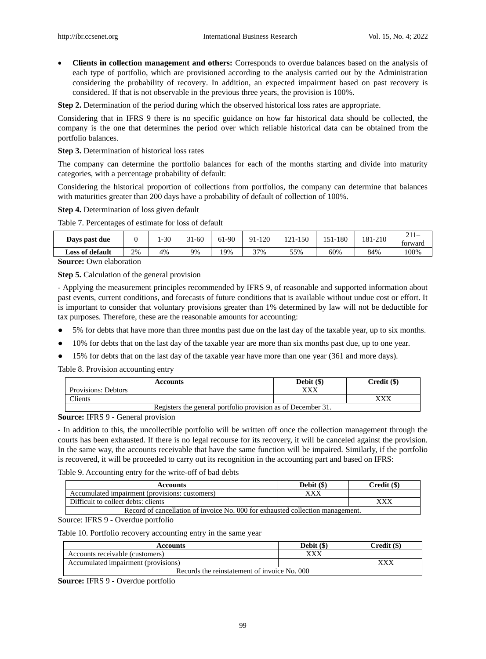**Clients in collection management and others:** Corresponds to overdue balances based on the analysis of each type of portfolio, which are provisioned according to the analysis carried out by the Administration considering the probability of recovery. In addition, an expected impairment based on past recovery is considered. If that is not observable in the previous three years, the provision is 100%.

**Step 2.** Determination of the period during which the observed historical loss rates are appropriate.

Considering that in IFRS 9 there is no specific guidance on how far historical data should be collected, the company is the one that determines the period over which reliable historical data can be obtained from the portfolio balances.

**Step 3.** Determination of historical loss rates

The company can determine the portfolio balances for each of the months starting and divide into maturity categories, with a percentage probability of default:

Considering the historical proportion of collections from portfolios, the company can determine that balances with maturities greater than 200 days have a probability of default of collection of 100%.

**Step 4.** Determination of loss given default

Table 7. Percentages of estimate for loss of default

| Days past due   |    | $-30$ | 1-60<br>$\sim$ | 61-90 | 91-120 | 150<br>$1^{\wedge}1$<br>. | 151-180 | 181-210 | forward |
|-----------------|----|-------|----------------|-------|--------|---------------------------|---------|---------|---------|
| Loss of default | 2% | 4%    | 9%             | 19%   | 37%    | 55%                       | 60%     | 84%     | 100%    |

**Source:** Own elaboration

**Step 5.** Calculation of the general provision

- Applying the measurement principles recommended by IFRS 9, of reasonable and supported information about past events, current conditions, and forecasts of future conditions that is available without undue cost or effort. It is important to consider that voluntary provisions greater than 1% determined by law will not be deductible for tax purposes. Therefore, these are the reasonable amounts for accounting:

- 5% for debts that have more than three months past due on the last day of the taxable year, up to six months.
- 10% for debts that on the last day of the taxable year are more than six months past due, up to one year.
- 15% for debts that on the last day of the taxable year have more than one year (361 and more days).

Table 8. Provision accounting entry

| <b>Accounts</b>                                              | Debit (\$) | Credit (\$) |  |
|--------------------------------------------------------------|------------|-------------|--|
| Provisions: Debtors                                          |            |             |  |
| <b>Tients</b>                                                |            |             |  |
| Registers the general portfolio provision as of December 31. |            |             |  |

**Source:** IFRS 9 - General provision

- In addition to this, the uncollectible portfolio will be written off once the collection management through the courts has been exhausted. If there is no legal recourse for its recovery, it will be canceled against the provision. In the same way, the accounts receivable that have the same function will be impaired. Similarly, if the portfolio is recovered, it will be proceeded to carry out its recognition in the accounting part and based on IFRS:

Table 9. Accounting entry for the write-off of bad debts

| Accounts                                                                       | Debit $(\$)$ | Credit (\$) |  |
|--------------------------------------------------------------------------------|--------------|-------------|--|
| Accumulated impairment (provisions: customers)                                 | xxx          |             |  |
| Difficult to collect debts: clients                                            |              | xxx         |  |
| Record of cancellation of invoice No. 000 for exhausted collection management. |              |             |  |

Source: IFRS 9 - Overdue portfolio

Table 10. Portfolio recovery accounting entry in the same year

| <b>Accounts</b>                              | Debit $(\$)$ | Credit (\$) |  |  |  |
|----------------------------------------------|--------------|-------------|--|--|--|
| Accounts receivable (customers)              | xxx          |             |  |  |  |
| Accumulated impairment (provisions)          |              |             |  |  |  |
| Records the reinstatement of invoice No. 000 |              |             |  |  |  |

**Source:** IFRS 9 - Overdue portfolio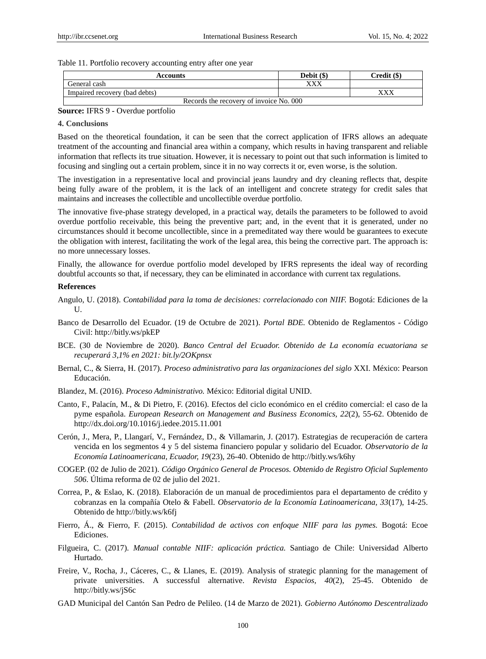#### Table 11. Portfolio recovery accounting entry after one year

| <b>Accounts</b>                         | Debit $(\$)$ | Credit (\$) |
|-----------------------------------------|--------------|-------------|
| General cash                            |              |             |
| Impaired recovery (bad debts)           |              |             |
| Records the recovery of invoice No. 000 |              |             |

#### **Source:** IFRS 9 - Overdue portfolio

#### **4. Conclusions**

Based on the theoretical foundation, it can be seen that the correct application of IFRS allows an adequate treatment of the accounting and financial area within a company, which results in having transparent and reliable information that reflects its true situation. However, it is necessary to point out that such information is limited to focusing and singling out a certain problem, since it in no way corrects it or, even worse, is the solution.

The investigation in a representative local and provincial jeans laundry and dry cleaning reflects that, despite being fully aware of the problem, it is the lack of an intelligent and concrete strategy for credit sales that maintains and increases the collectible and uncollectible overdue portfolio.

The innovative five-phase strategy developed, in a practical way, details the parameters to be followed to avoid overdue portfolio receivable, this being the preventive part; and, in the event that it is generated, under no circumstances should it become uncollectible, since in a premeditated way there would be guarantees to execute the obligation with interest, facilitating the work of the legal area, this being the corrective part. The approach is: no more unnecessary losses.

Finally, the allowance for overdue portfolio model developed by IFRS represents the ideal way of recording doubtful accounts so that, if necessary, they can be eliminated in accordance with current tax regulations.

#### **References**

- Angulo, U. (2018). *Contabilidad para la toma de decisiones: correlacionado con NIIF.* Bogotá: Ediciones de la  $U$ .
- Banco de Desarrollo del Ecuador. (19 de Octubre de 2021). *Portal BDE.* Obtenido de Reglamentos Código Civil: http://bitly.ws/pkEP
- BCE. (30 de Noviembre de 2020). *Banco Central del Ecuador. Obtenido de La economía ecuatoriana se recuperará 3,1% en 2021: bit.ly/2OKpnsx*
- Bernal, C., & Sierra, H. (2017). *Proceso administrativo para las organizaciones del siglo* XXI. México: Pearson Educación.
- Blandez, M. (2016). *Proceso Administrativo.* México: Editorial digital UNID.
- Canto, F., Palac *fi, M., & Di Pietro, F.* (2016). Efectos del ciclo económico en el crédito comercial: el caso de la pyme española. *European Research on Management and Business Economics, 22*(2), 55-62. Obtenido de http://dx.doi.org/10.1016/j.iedee.2015.11.001
- Cerón, J., Mera, P., Llangarí, V., Fernández, D., & Villamarin, J. (2017). Estrategias de recuperación de cartera vencida en los segmentos 4 y 5 del sistema financiero popular y solidario del Ecuador. *Observatorio de la Economía Latinoamericana, Ecuador, 19*(23), 26-40. Obtenido de http://bitly.ws/k6hy
- COGEP. (02 de Julio de 2021). *Código Orgánico General de Procesos. Obtenido de Registro Oficial Suplemento 506*. Última reforma de 02 de julio del 2021.
- Correa, P., & Eslao, K. (2018). Elaboración de un manual de procedimientos para el departamento de crédito y cobranzas en la compañía Otelo & Fabell. *Observatorio de la Economía Latinoamericana, 33*(17), 14-25. Obtenido de http://bitly.ws/k6fj
- Fierro, Á., & Fierro, F. (2015). *Contabilidad de activos con enfoque NIIF para las pymes.* Bogotá: Ecoe Ediciones.
- Filgueira, C. (2017). *Manual contable NIIF: aplicación práctica.* Santiago de Chile: Universidad Alberto Hurtado.
- Freire, V., Rocha, J., Cáceres, C., & Llanes, E. (2019). Analysis of strategic planning for the management of private universities. A successful alternative. *Revista Espacios, 40*(2), 25-45. Obtenido de http://bitly.ws/jS6c
- GAD Municipal del Cantón San Pedro de Pelileo. (14 de Marzo de 2021). *Gobierno Autónomo Descentralizado*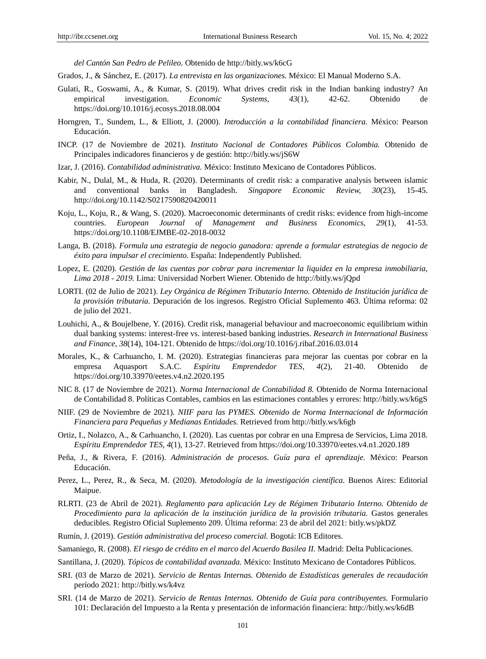*del Cantón San Pedro de Pelileo.* Obtenido de http://bitly.ws/k6cG

Grados, J., & Sánchez, E. (2017). *La entrevista en las organizaciones.* México: El Manual Moderno S.A.

- Gulati, R., Goswami, A., & Kumar, S. (2019). What drives credit risk in the Indian banking industry? An empirical investigation. *Economic Systems, 43*(1), 42-62. Obtenido de https://doi.org/10.1016/j.ecosys.2018.08.004
- Horngren, T., Sundem, L., & Elliott, J. (2000). *Introducción a la contabilidad financiera.* México: Pearson Educación.
- INCP. (17 de Noviembre de 2021). *Instituto Nacional de Contadores Públicos Colombia.* Obtenido de Principales indicadores financieros y de gestión: http://bitly.ws/jS6W
- Izar, J. (2016). *Contabilidad administrativa.* México: Instituto Mexicano de Contadores Públicos.
- Kabir, N., Dulal, M., & Huda, R. (2020). Determinants of credit risk: a comparative analysis between islamic and conventional banks in Bangladesh. *Singapore Economic Review, 30*(23), 15-45. http://doi.org/10.1142/S0217590820420011
- Koju, L., Koju, R., & Wang, S. (2020). Macroeconomic determinants of credit risks: evidence from high-income countries. *European Journal of Management and Business Economics, 29*(1), 41-53. https://doi.org/10.1108/EJMBE-02-2018-0032
- Langa, B. (2018). *Formula una estrategia de negocio ganadora: aprende a formular estrategias de negocio de éxito para impulsar el crecimiento.* España: Independently Published.
- Lopez, E. (2020). *Gestión de las cuentas por cobrar para incrementar la liquidez en la empresa inmobiliaria, Lima 2018 - 2019.* Lima: Universidad Norbert Wiener. Obtenido de http://bitly.ws/jQpd
- LORTI. (02 de Julio de 2021). *Ley Orgánica de Régimen Tributario Interno. Obtenido de Institución jurídica de la provisión tributaria.* Depuración de los ingresos. Registro Oficial Suplemento 463. Última reforma: 02 de julio del 2021.
- Louhichi, A., & Boujelbene, Y. (2016). Credit risk, managerial behaviour and macroeconomic equilibrium within dual banking systems: interest-free vs. interest-based banking industries. *Research in International Business and Finance, 38*(14), 104-121. Obtenido de https://doi.org/10.1016/j.ribaf.2016.03.014
- Morales, K., & Carhuancho, I. M. (2020). Estrategias financieras para mejorar las cuentas por cobrar en la empresa Aquasport S.A.C. *Espíritu Emprendedor TES, 4*(2), 21-40. Obtenido de https://doi.org/10.33970/eetes.v4.n2.2020.195
- NIC 8. (17 de Noviembre de 2021). *Norma Internacional de Contabilidad 8.* Obtenido de Norma Internacional de Contabilidad 8. Políticas Contables, cambios en las estimaciones contables y errores: http://bitly.ws/k6gS
- NIIF. (29 de Noviembre de 2021). *NIIF para las PYMES. Obtenido de Norma Internacional de Información Financiera para Pequeñas y Medianas Entidades.* Retrieved from http://bitly.ws/k6gb
- Ortiz, I., Nolazco, A., & Carhuancho, I. (2020). Las cuentas por cobrar en una Empresa de Servicios, Lima 2018. *Espíritu Emprendedor TES, 4*(1), 13-27. Retrieved from https://doi.org/10.33970/eetes.v4.n1.2020.189
- Peña, J., & Rivera, F. (2016). *Administración de procesos. Guía para el aprendizaje.* México: Pearson Educación.
- Perez, L., Perez, R., & Seca, M. (2020). *Metodología de la investigación científica*. Buenos Aires: Editorial Maipue.
- RLRTI. (23 de Abril de 2021). *Reglamento para aplicación Ley de Régimen Tributario Interno. Obtenido de Procedimiento para la aplicación de la institución jurídica de la provisión tributaria.* Gastos generales deducibles. Registro Oficial Suplemento 209. Última reforma: 23 de abril del 2021: bitly.ws/pkDZ
- Rumín, J. (2019). *Gestión administrativa del proceso comercial.* Bogotá: ICB Editores.
- Samaniego, R. (2008). *El riesgo de crédito en el marco del Acuerdo Basilea II*. Madrid: Delta Publicaciones.
- Santillana, J. (2020). *Tópicos de contabilidad avanzada.* México: Instituto Mexicano de Contadores Públicos.
- SRI. (03 de Marzo de 2021). *Servicio de Rentas Internas. Obtenido de Estadísticas generales de recaudación*  per ódo 2021: http://bitly.ws/k4vz
- SRI. (14 de Marzo de 2021). *Servicio de Rentas Internas. Obtenido de Guía para contribuyentes.* Formulario 101: Declaración del Impuesto a la Renta y presentación de información financiera: http://bitly.ws/k6dB